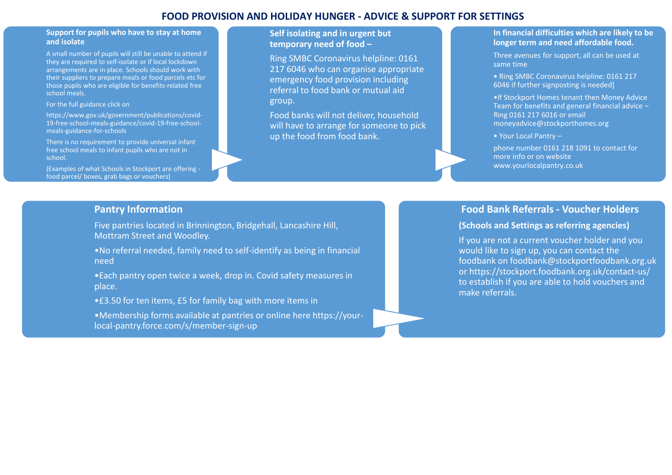# **FOOD PROVISION AND HOLIDAY HUNGER - ADVICE & SUPPORT FOR SETTINGS**

#### **Support for pupils who have to stay at home and isolate**

A small number of pupils will still be unable to attend if they are required to self-isolate or if local lockdown arrangements are in place. Schools should work with their suppliers to prepare meals or food parcels etc for those pupils who are eligible for benefits-related free school meals.

#### For the full guidance click on

https://www.gov.uk/government/publications/covid-19-free-school-meals-guidance/covid-19-free-schoolmeals-guidance-for-schools

There is no requirement to provide universal infant free school meals to infant pupils who are not in school.

(Examples of what Schools in Stockport are offering food parcel/ boxes, grab bags or vouchers)

### **Self isolating and in urgent but temporary need of food –**

Ring SMBC Coronavirus helpline: 0161 217 6046 who can organise appropriate emergency food provision including referral to food bank or mutual aid group.

Food banks will not deliver, household will have to arrange for someone to pick up the food from food bank.

#### **In financial difficulties which are likely to be longer term and need affordable food.**

Three avenues for support, all can be used at same time

• Ring SMBC Coronavirus helpline: 0161 217 6046 if further signposting is needed]

•If Stockport Homes tenant then Money Advice Team for benefits and general financial advice – Ring 0161 217 6016 or email moneyadvice@stockporthomes.org

• Your Local Pantry –

phone number 0161 218 1091 to contact for more info or on website www.yourlocalpantry.co.uk

## **Pantry Information**

- Five pantries located in Brinnington, Bridgehall, Lancashire Hill, Mottram Street and Woodley.
- •No referral needed, family need to self-identify as being in financial need
- •Each pantry open twice a week, drop in. Covid safety measures in place.
- •£3.50 for ten items, £5 for family bag with more items in
- •Membership forms available at pantries or online here https://yourlocal-pantry.force.com/s/member-sign-up

## **Food Bank Referrals - Voucher Holders**

### **(Schools and Settings as referring agencies)**

If you are not a current voucher holder and you would like to sign up, you can contact the foodbank on foodbank@stockportfoodbank.org.uk or https://stockport.foodbank.org.uk/contact-us/ to establish if you are able to hold vouchers and make referrals.